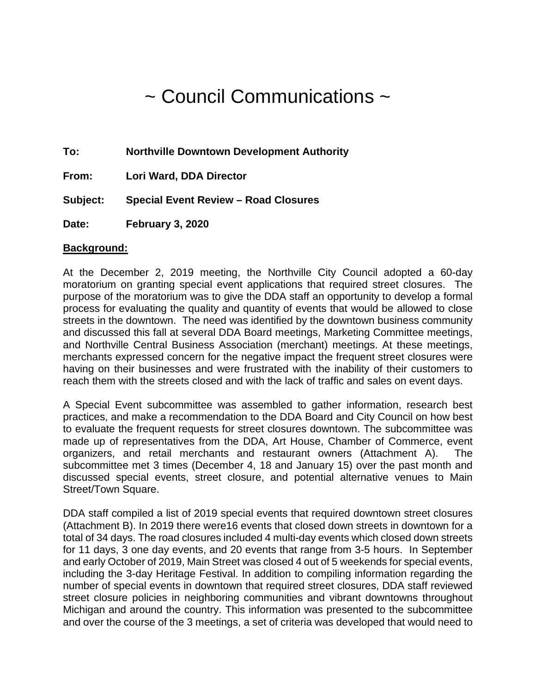# ~ Council Communications ~

**To: Northville Downtown Development Authority**

**From: Lori Ward, DDA Director**

**Subject: Special Event Review – Road Closures**

**Date: February 3, 2020**

#### **Background:**

At the December 2, 2019 meeting, the Northville City Council adopted a 60-day moratorium on granting special event applications that required street closures. The purpose of the moratorium was to give the DDA staff an opportunity to develop a formal process for evaluating the quality and quantity of events that would be allowed to close streets in the downtown. The need was identified by the downtown business community and discussed this fall at several DDA Board meetings, Marketing Committee meetings, and Northville Central Business Association (merchant) meetings. At these meetings, merchants expressed concern for the negative impact the frequent street closures were having on their businesses and were frustrated with the inability of their customers to reach them with the streets closed and with the lack of traffic and sales on event days.

A Special Event subcommittee was assembled to gather information, research best practices, and make a recommendation to the DDA Board and City Council on how best to evaluate the frequent requests for street closures downtown. The subcommittee was made up of representatives from the DDA, Art House, Chamber of Commerce, event organizers, and retail merchants and restaurant owners (Attachment A). The subcommittee met 3 times (December 4, 18 and January 15) over the past month and discussed special events, street closure, and potential alternative venues to Main Street/Town Square.

DDA staff compiled a list of 2019 special events that required downtown street closures (Attachment B). In 2019 there were16 events that closed down streets in downtown for a total of 34 days. The road closures included 4 multi-day events which closed down streets for 11 days, 3 one day events, and 20 events that range from 3-5 hours. In September and early October of 2019, Main Street was closed 4 out of 5 weekends for special events, including the 3-day Heritage Festival. In addition to compiling information regarding the number of special events in downtown that required street closures, DDA staff reviewed street closure policies in neighboring communities and vibrant downtowns throughout Michigan and around the country. This information was presented to the subcommittee and over the course of the 3 meetings, a set of criteria was developed that would need to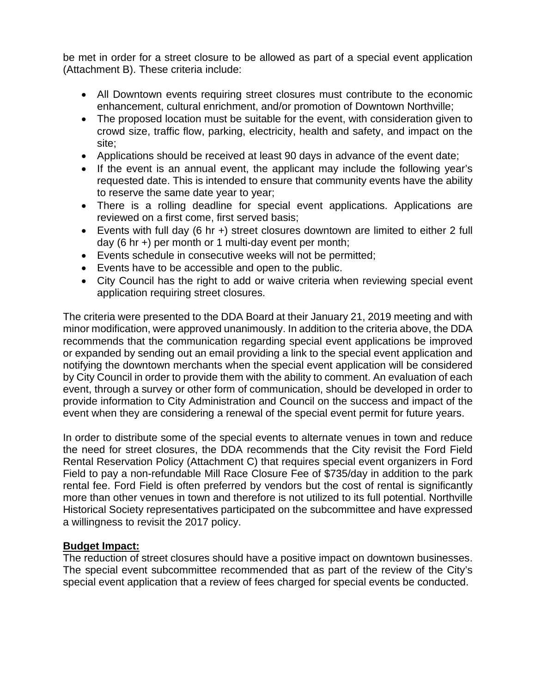be met in order for a street closure to be allowed as part of a special event application (Attachment B). These criteria include:

- All Downtown events requiring street closures must contribute to the economic enhancement, cultural enrichment, and/or promotion of Downtown Northville;
- The proposed location must be suitable for the event, with consideration given to crowd size, traffic flow, parking, electricity, health and safety, and impact on the site;
- Applications should be received at least 90 days in advance of the event date;
- If the event is an annual event, the applicant may include the following year's requested date. This is intended to ensure that community events have the ability to reserve the same date year to year;
- There is a rolling deadline for special event applications. Applications are reviewed on a first come, first served basis;
- Events with full day (6 hr +) street closures downtown are limited to either 2 full day (6 hr +) per month or 1 multi-day event per month;
- Events schedule in consecutive weeks will not be permitted;
- Events have to be accessible and open to the public.
- City Council has the right to add or waive criteria when reviewing special event application requiring street closures.

The criteria were presented to the DDA Board at their January 21, 2019 meeting and with minor modification, were approved unanimously. In addition to the criteria above, the DDA recommends that the communication regarding special event applications be improved or expanded by sending out an email providing a link to the special event application and notifying the downtown merchants when the special event application will be considered by City Council in order to provide them with the ability to comment. An evaluation of each event, through a survey or other form of communication, should be developed in order to provide information to City Administration and Council on the success and impact of the event when they are considering a renewal of the special event permit for future years.

In order to distribute some of the special events to alternate venues in town and reduce the need for street closures, the DDA recommends that the City revisit the Ford Field Rental Reservation Policy (Attachment C) that requires special event organizers in Ford Field to pay a non-refundable Mill Race Closure Fee of \$735/day in addition to the park rental fee. Ford Field is often preferred by vendors but the cost of rental is significantly more than other venues in town and therefore is not utilized to its full potential. Northville Historical Society representatives participated on the subcommittee and have expressed a willingness to revisit the 2017 policy.

#### **Budget Impact:**

The reduction of street closures should have a positive impact on downtown businesses. The special event subcommittee recommended that as part of the review of the City's special event application that a review of fees charged for special events be conducted.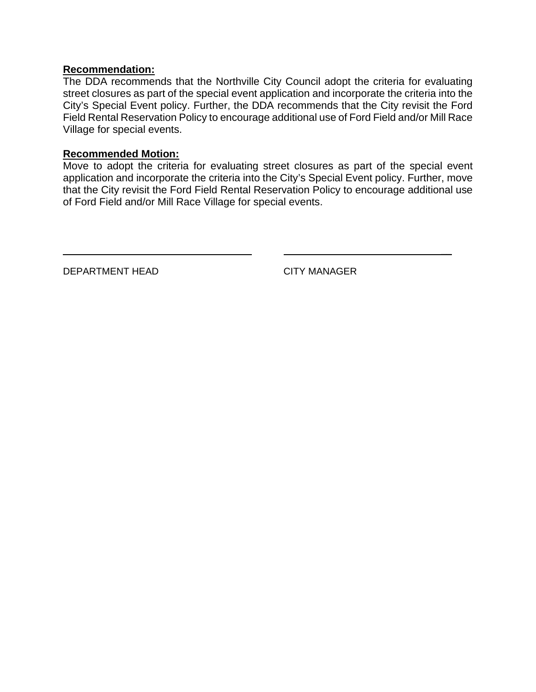#### **Recommendation:**

The DDA recommends that the Northville City Council adopt the criteria for evaluating street closures as part of the special event application and incorporate the criteria into the City's Special Event policy. Further, the DDA recommends that the City revisit the Ford Field Rental Reservation Policy to encourage additional use of Ford Field and/or Mill Race Village for special events.

#### **Recommended Motion:**

Move to adopt the criteria for evaluating street closures as part of the special event application and incorporate the criteria into the City's Special Event policy. Further, move that the City revisit the Ford Field Rental Reservation Policy to encourage additional use of Ford Field and/or Mill Race Village for special events.

\_\_

DEPARTMENT HEAD CITY MANAGER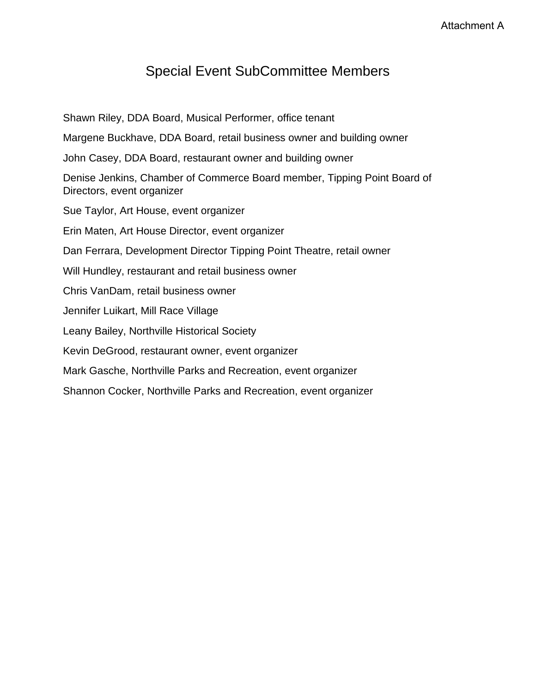## Special Event SubCommittee Members

Shawn Riley, DDA Board, Musical Performer, office tenant Margene Buckhave, DDA Board, retail business owner and building owner John Casey, DDA Board, restaurant owner and building owner Denise Jenkins, Chamber of Commerce Board member, Tipping Point Board of Directors, event organizer Sue Taylor, Art House, event organizer Erin Maten, Art House Director, event organizer Dan Ferrara, Development Director Tipping Point Theatre, retail owner Will Hundley, restaurant and retail business owner Chris VanDam, retail business owner Jennifer Luikart, Mill Race Village Leany Bailey, Northville Historical Society Kevin DeGrood, restaurant owner, event organizer Mark Gasche, Northville Parks and Recreation, event organizer Shannon Cocker, Northville Parks and Recreation, event organizer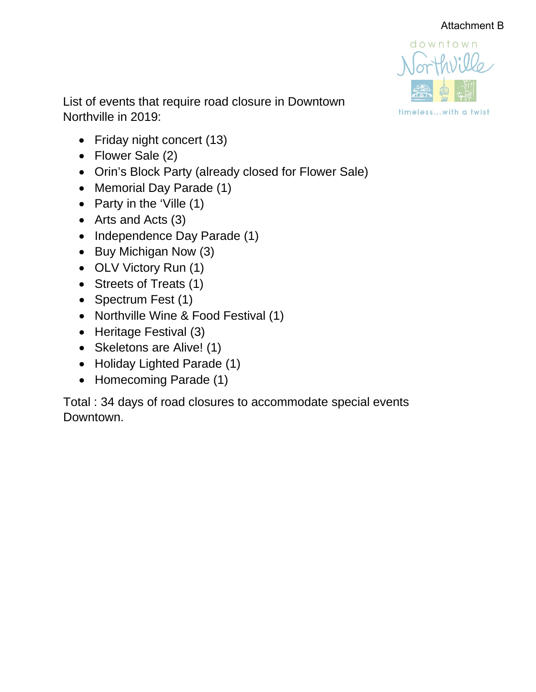

List of events that require road closure in Downtown Northville in 2019:

- Friday night concert (13)
- Flower Sale (2)
- Orin's Block Party (already closed for Flower Sale)
- Memorial Day Parade (1)
- Party in the 'Ville (1)
- Arts and Acts (3)
- Independence Day Parade (1)
- Buy Michigan Now (3)
- OLV Victory Run (1)
- Streets of Treats (1)
- Spectrum Fest (1)
- Northville Wine & Food Festival (1)
- Heritage Festival (3)
- Skeletons are Alive! (1)
- Holiday Lighted Parade (1)
- Homecoming Parade (1)

Total : 34 days of road closures to accommodate special events Downtown.